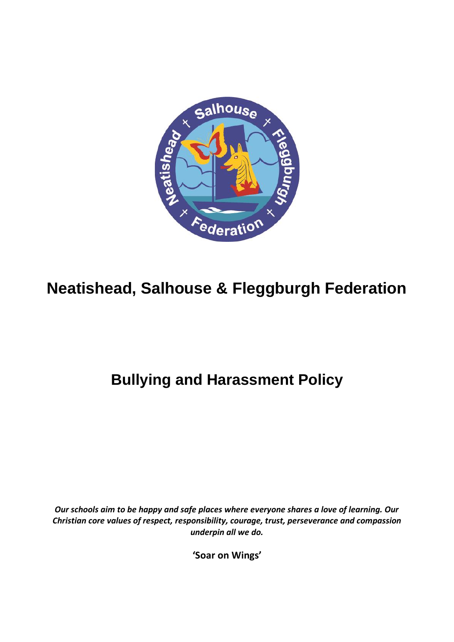

# **Neatishead, Salhouse & Fleggburgh Federation**

# **Bullying and Harassment Policy**

*Our schools aim to be happy and safe places where everyone shares a love of learning. Our Christian core values of respect, responsibility, courage, trust, perseverance and compassion underpin all we do.*

**'Soar on Wings'**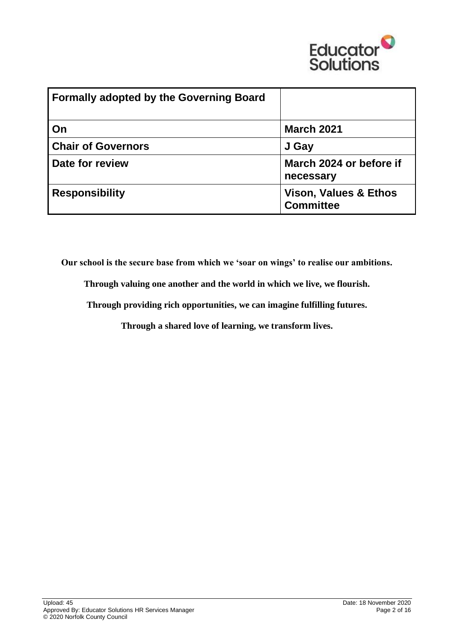

| <b>Formally adopted by the Governing Board</b> |                                                      |
|------------------------------------------------|------------------------------------------------------|
| On                                             | <b>March 2021</b>                                    |
| <b>Chair of Governors</b>                      | J Gay                                                |
| Date for review                                | March 2024 or before if<br>necessary                 |
| <b>Responsibility</b>                          | <b>Vison, Values &amp; Ethos</b><br><b>Committee</b> |

**Our school is the secure base from which we 'soar on wings' to realise our ambitions.**

**Through valuing one another and the world in which we live, we flourish.**

**Through providing rich opportunities, we can imagine fulfilling futures.**

**Through a shared love of learning, we transform lives.**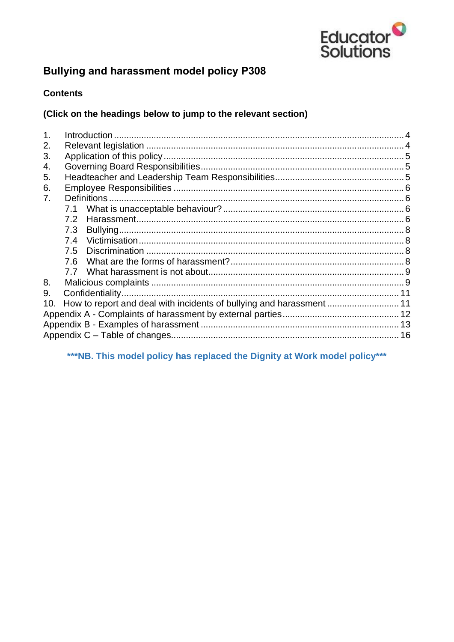

# **Bullying and harassment model policy P308**

### **Contents**

#### (Click on the headings below to jump to the relevant section)

| 1.  |              |  |  |  |  |
|-----|--------------|--|--|--|--|
| 2.  |              |  |  |  |  |
| 3.  |              |  |  |  |  |
| 4.  |              |  |  |  |  |
| 5.  |              |  |  |  |  |
| 6.  |              |  |  |  |  |
| 7.  | Definitions. |  |  |  |  |
|     | 7.1          |  |  |  |  |
|     | 7.2          |  |  |  |  |
|     | 7.3          |  |  |  |  |
|     | 7.4          |  |  |  |  |
|     |              |  |  |  |  |
|     |              |  |  |  |  |
|     |              |  |  |  |  |
| 8.  |              |  |  |  |  |
| 9.  |              |  |  |  |  |
| 10. |              |  |  |  |  |
|     |              |  |  |  |  |
|     |              |  |  |  |  |
|     |              |  |  |  |  |

# \*\*\* NB. This model policy has replaced the Dignity at Work model policy\*\*\*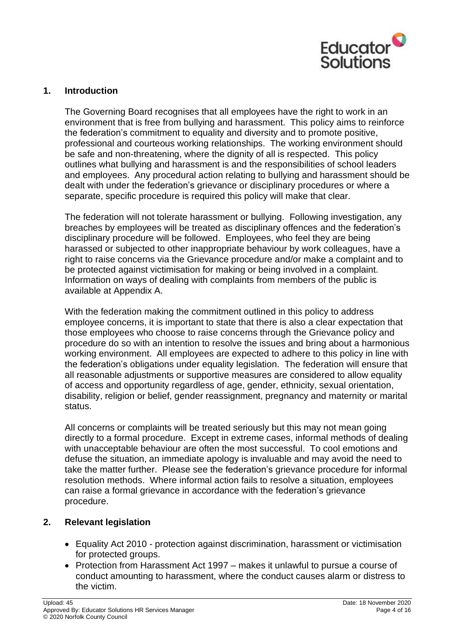

#### <span id="page-3-0"></span>**1. Introduction**

The Governing Board recognises that all employees have the right to work in an environment that is free from bullying and harassment. This policy aims to reinforce the federation's commitment to equality and diversity and to promote positive, professional and courteous working relationships. The working environment should be safe and non-threatening, where the dignity of all is respected. This policy outlines what bullying and harassment is and the responsibilities of school leaders and employees. Any procedural action relating to bullying and harassment should be dealt with under the federation's grievance or disciplinary procedures or where a separate, specific procedure is required this policy will make that clear.

The federation will not tolerate harassment or bullying. Following investigation, any breaches by employees will be treated as disciplinary offences and the federation's disciplinary procedure will be followed. Employees, who feel they are being harassed or subjected to other inappropriate behaviour by work colleagues, have a right to raise concerns via the Grievance procedure and/or make a complaint and to be protected against victimisation for making or being involved in a complaint. Information on ways of dealing with complaints from members of the public is available at Appendix A.

With the federation making the commitment outlined in this policy to address employee concerns, it is important to state that there is also a clear expectation that those employees who choose to raise concerns through the Grievance policy and procedure do so with an intention to resolve the issues and bring about a harmonious working environment. All employees are expected to adhere to this policy in line with the federation's obligations under equality legislation. The federation will ensure that all reasonable adjustments or supportive measures are considered to allow equality of access and opportunity regardless of age, gender, ethnicity, sexual orientation, disability, religion or belief, gender reassignment, pregnancy and maternity or marital status.

All concerns or complaints will be treated seriously but this may not mean going directly to a formal procedure. Except in extreme cases, informal methods of dealing with unacceptable behaviour are often the most successful. To cool emotions and defuse the situation, an immediate apology is invaluable and may avoid the need to take the matter further. Please see the federation's grievance procedure for informal resolution methods. Where informal action fails to resolve a situation, employees can raise a formal grievance in accordance with the federation's grievance procedure.

#### <span id="page-3-1"></span>**2. Relevant legislation**

- Equality Act 2010 protection against discrimination, harassment or victimisation for protected groups.
- Protection from Harassment Act 1997 makes it unlawful to pursue a course of conduct amounting to harassment, where the conduct causes alarm or distress to the victim.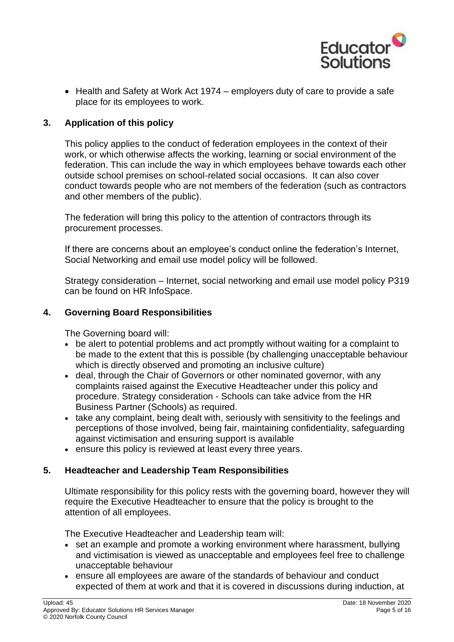

• Health and Safety at Work Act 1974 – employers duty of care to provide a safe place for its employees to work.

#### <span id="page-4-0"></span>**3. Application of this policy**

This policy applies to the conduct of federation employees in the context of their work, or which otherwise affects the working, learning or social environment of the federation. This can include the way in which employees behave towards each other outside school premises on school-related social occasions. It can also cover conduct towards people who are not members of the federation (such as contractors and other members of the public).

The federation will bring this policy to the attention of contractors through its procurement processes.

If there are concerns about an employee's conduct online the federation's Internet, Social Networking and email use model policy will be followed.

Strategy consideration – Internet, social networking and email use model policy P319 can be found on HR InfoSpace.

#### <span id="page-4-1"></span>**4. Governing Board Responsibilities**

The Governing board will:

- be alert to potential problems and act promptly without waiting for a complaint to be made to the extent that this is possible (by challenging unacceptable behaviour which is directly observed and promoting an inclusive culture)
- deal, through the Chair of Governors or other nominated governor, with any complaints raised against the Executive Headteacher under this policy and procedure. Strategy consideration - Schools can take advice from the HR Business Partner (Schools) as required.
- take any complaint, being dealt with, seriously with sensitivity to the feelings and perceptions of those involved, being fair, maintaining confidentiality, safeguarding against victimisation and ensuring support is available
- ensure this policy is reviewed at least every three years.

#### <span id="page-4-2"></span>**5. Headteacher and Leadership Team Responsibilities**

Ultimate responsibility for this policy rests with the governing board, however they will require the Executive Headteacher to ensure that the policy is brought to the attention of all employees.

The Executive Headteacher and Leadership team will:

- set an example and promote a working environment where harassment, bullying and victimisation is viewed as unacceptable and employees feel free to challenge unacceptable behaviour
- ensure all employees are aware of the standards of behaviour and conduct expected of them at work and that it is covered in discussions during induction, at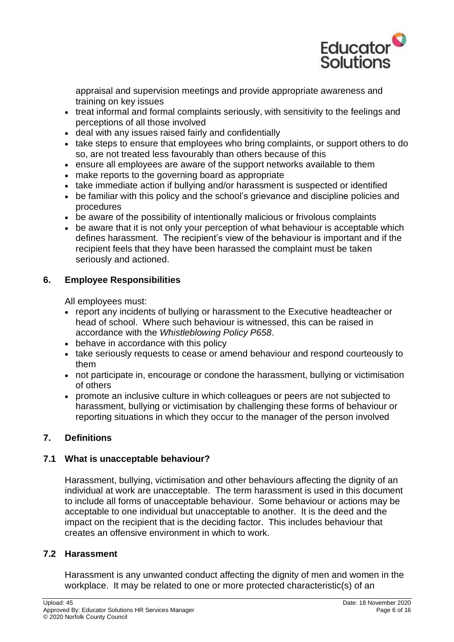

appraisal and supervision meetings and provide appropriate awareness and training on key issues

- treat informal and formal complaints seriously, with sensitivity to the feelings and perceptions of all those involved
- deal with any issues raised fairly and confidentially
- take steps to ensure that employees who bring complaints, or support others to do so, are not treated less favourably than others because of this
- ensure all employees are aware of the support networks available to them
- make reports to the governing board as appropriate
- take immediate action if bullying and/or harassment is suspected or identified
- be familiar with this policy and the school's grievance and discipline policies and procedures
- be aware of the possibility of intentionally malicious or frivolous complaints
- be aware that it is not only your perception of what behaviour is acceptable which defines harassment. The recipient's view of the behaviour is important and if the recipient feels that they have been harassed the complaint must be taken seriously and actioned.

### <span id="page-5-0"></span>**6. Employee Responsibilities**

All employees must:

- report any incidents of bullying or harassment to the Executive headteacher or head of school. Where such behaviour is witnessed, this can be raised in accordance with the *Whistleblowing Policy P658*.
- behave in accordance with this policy
- take seriously requests to cease or amend behaviour and respond courteously to them
- not participate in, encourage or condone the harassment, bullying or victimisation of others
- promote an inclusive culture in which colleagues or peers are not subjected to harassment, bullying or victimisation by challenging these forms of behaviour or reporting situations in which they occur to the manager of the person involved

# <span id="page-5-1"></span>**7. Definitions**

# <span id="page-5-2"></span>**7.1 What is unacceptable behaviour?**

Harassment, bullying, victimisation and other behaviours affecting the dignity of an individual at work are unacceptable. The term harassment is used in this document to include all forms of unacceptable behaviour. Some behaviour or actions may be acceptable to one individual but unacceptable to another. It is the deed and the impact on the recipient that is the deciding factor. This includes behaviour that creates an offensive environment in which to work.

#### <span id="page-5-3"></span>**7.2 Harassment**

Harassment is any unwanted conduct affecting the dignity of men and women in the workplace. It may be related to one or more protected characteristic(s) of an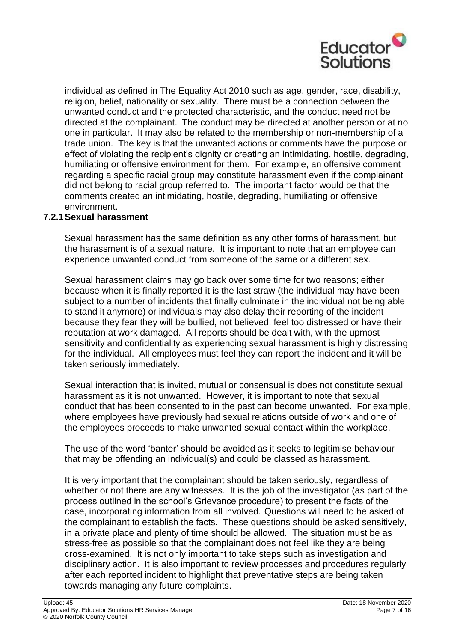

individual as defined in The Equality Act 2010 such as age, gender, race, disability, religion, belief, nationality or sexuality. There must be a connection between the unwanted conduct and the protected characteristic, and the conduct need not be directed at the complainant. The conduct may be directed at another person or at no one in particular. It may also be related to the membership or non-membership of a trade union. The key is that the unwanted actions or comments have the purpose or effect of violating the recipient's dignity or creating an intimidating, hostile, degrading, humiliating or offensive environment for them. For example, an offensive comment regarding a specific racial group may constitute harassment even if the complainant did not belong to racial group referred to. The important factor would be that the comments created an intimidating, hostile, degrading, humiliating or offensive environment.

#### **7.2.1Sexual harassment**

Sexual harassment has the same definition as any other forms of harassment, but the harassment is of a sexual nature. It is important to note that an employee can experience unwanted conduct from someone of the same or a different sex.

Sexual harassment claims may go back over some time for two reasons; either because when it is finally reported it is the last straw (the individual may have been subject to a number of incidents that finally culminate in the individual not being able to stand it anymore) or individuals may also delay their reporting of the incident because they fear they will be bullied, not believed, feel too distressed or have their reputation at work damaged. All reports should be dealt with, with the upmost sensitivity and confidentiality as experiencing sexual harassment is highly distressing for the individual. All employees must feel they can report the incident and it will be taken seriously immediately.

Sexual interaction that is invited, mutual or consensual is does not constitute sexual harassment as it is not unwanted. However, it is important to note that sexual conduct that has been consented to in the past can become unwanted. For example, where employees have previously had sexual relations outside of work and one of the employees proceeds to make unwanted sexual contact within the workplace.

The use of the word 'banter' should be avoided as it seeks to legitimise behaviour that may be offending an individual(s) and could be classed as harassment.

It is very important that the complainant should be taken seriously, regardless of whether or not there are any witnesses. It is the job of the investigator (as part of the process outlined in the school's Grievance procedure) to present the facts of the case, incorporating information from all involved. Questions will need to be asked of the complainant to establish the facts. These questions should be asked sensitively, in a private place and plenty of time should be allowed. The situation must be as stress-free as possible so that the complainant does not feel like they are being cross-examined. It is not only important to take steps such as investigation and disciplinary action. It is also important to review processes and procedures regularly after each reported incident to highlight that preventative steps are being taken towards managing any future complaints.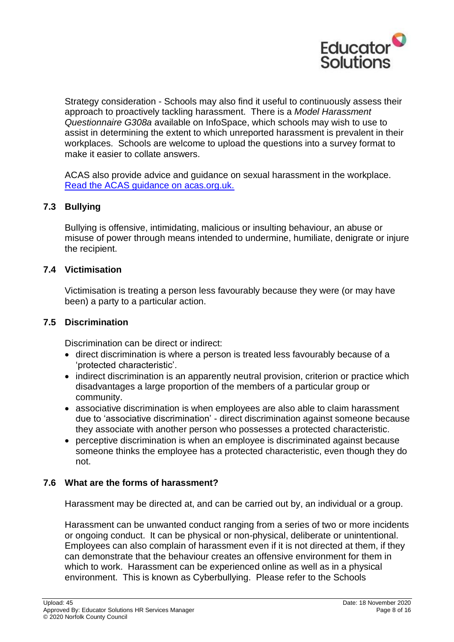

Strategy consideration - Schools may also find it useful to continuously assess their approach to proactively tackling harassment. There is a *Model Harassment Questionnaire G308a* available on InfoSpace, which schools may wish to use to assist in determining the extent to which unreported harassment is prevalent in their workplaces. Schools are welcome to upload the questions into a survey format to make it easier to collate answers.

ACAS also provide advice and guidance on sexual harassment in the workplace. [Read the ACAS guidance on acas.org.uk.](http://www.acas.org.uk/index.aspx?articleid=6078&utm_medium=email&utm_campaign=NTL%20December%202017%20v2&utm_content=NTL%20December%202017%20v2+Version+A+CID_cdfd623ed92131e4939fcfd0a6beb361&utm_sour#Handling a complaint of sexual harassment)

#### <span id="page-7-0"></span>**7.3 Bullying**

Bullying is offensive, intimidating, malicious or insulting behaviour, an abuse or misuse of power through means intended to undermine, humiliate, denigrate or injure the recipient.

#### <span id="page-7-1"></span>**7.4 Victimisation**

Victimisation is treating a person less favourably because they were (or may have been) a party to a particular action.

#### <span id="page-7-2"></span>**7.5 Discrimination**

Discrimination can be direct or indirect:

- direct discrimination is where a person is treated less favourably because of a 'protected characteristic'.
- indirect discrimination is an apparently neutral provision, criterion or practice which disadvantages a large proportion of the members of a particular group or community.
- associative discrimination is when employees are also able to claim harassment due to 'associative discrimination' - direct discrimination against someone because they associate with another person who possesses a protected characteristic.
- perceptive discrimination is when an employee is discriminated against because someone thinks the employee has a protected characteristic, even though they do not.

#### <span id="page-7-3"></span>**7.6 What are the forms of harassment?**

Harassment may be directed at, and can be carried out by, an individual or a group.

Harassment can be unwanted conduct ranging from a series of two or more incidents or ongoing conduct. It can be physical or non-physical, deliberate or unintentional. Employees can also complain of harassment even if it is not directed at them, if they can demonstrate that the behaviour creates an offensive environment for them in which to work. Harassment can be experienced online as well as in a physical environment. This is known as Cyberbullying. Please refer to the Schools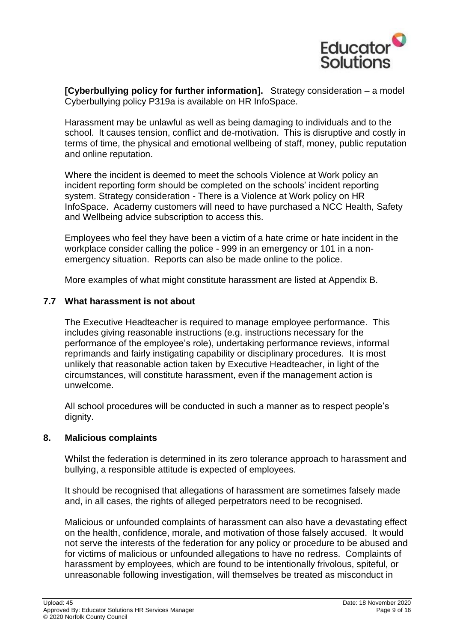

**[Cyberbullying policy for further information].** Strategy consideration – a model Cyberbullying policy P319a is available on HR InfoSpace.

Harassment may be unlawful as well as being damaging to individuals and to the school. It causes tension, conflict and de-motivation. This is disruptive and costly in terms of time, the physical and emotional wellbeing of staff, money, public reputation and online reputation.

Where the incident is deemed to meet the schools Violence at Work policy an incident reporting form should be completed on the schools' incident reporting system. Strategy consideration - There is a Violence at Work policy on HR InfoSpace. Academy customers will need to have purchased a NCC Health, Safety and Wellbeing advice subscription to access this.

Employees who feel they have been a victim of a hate crime or hate incident in the workplace consider calling the police - 999 in an emergency or 101 in a nonemergency situation. Reports can also be made online to the police.

More examples of what might constitute harassment are listed at Appendix B.

#### <span id="page-8-0"></span>**7.7 What harassment is not about**

The Executive Headteacher is required to manage employee performance. This includes giving reasonable instructions (e.g. instructions necessary for the performance of the employee's role), undertaking performance reviews, informal reprimands and fairly instigating capability or disciplinary procedures. It is most unlikely that reasonable action taken by Executive Headteacher, in light of the circumstances, will constitute harassment, even if the management action is unwelcome.

All school procedures will be conducted in such a manner as to respect people's dignity.

#### <span id="page-8-1"></span>**8. Malicious complaints**

Whilst the federation is determined in its zero tolerance approach to harassment and bullying, a responsible attitude is expected of employees.

It should be recognised that allegations of harassment are sometimes falsely made and, in all cases, the rights of alleged perpetrators need to be recognised.

Malicious or unfounded complaints of harassment can also have a devastating effect on the health, confidence, morale, and motivation of those falsely accused. It would not serve the interests of the federation for any policy or procedure to be abused and for victims of malicious or unfounded allegations to have no redress. Complaints of harassment by employees, which are found to be intentionally frivolous, spiteful, or unreasonable following investigation, will themselves be treated as misconduct in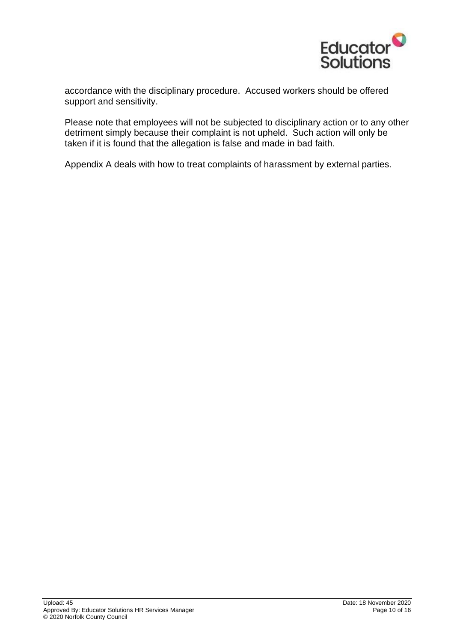

accordance with the disciplinary procedure. Accused workers should be offered support and sensitivity.

Please note that employees will not be subjected to disciplinary action or to any other detriment simply because their complaint is not upheld. Such action will only be taken if it is found that the allegation is false and made in bad faith.

<span id="page-9-0"></span>Appendix A deals with how to treat complaints of harassment by external parties.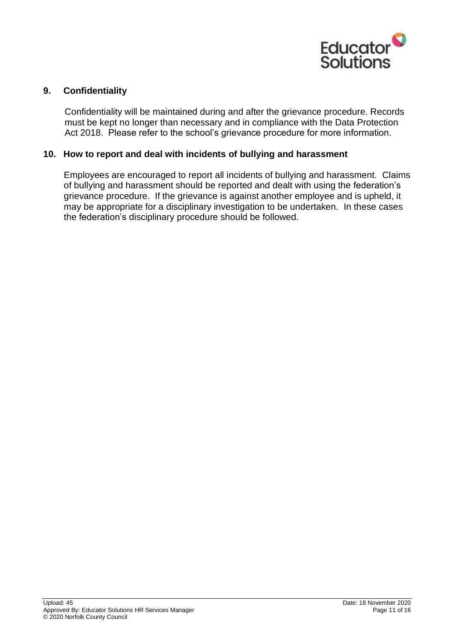

#### **9. Confidentiality**

Confidentiality will be maintained during and after the grievance procedure. Records must be kept no longer than necessary and in compliance with the Data Protection Act 2018. Please refer to the school's grievance procedure for more information.

#### <span id="page-10-0"></span>**10. How to report and deal with incidents of bullying and harassment**

Employees are encouraged to report all incidents of bullying and harassment. Claims of bullying and harassment should be reported and dealt with using the federation's grievance procedure. If the grievance is against another employee and is upheld, it may be appropriate for a disciplinary investigation to be undertaken. In these cases the federation's disciplinary procedure should be followed.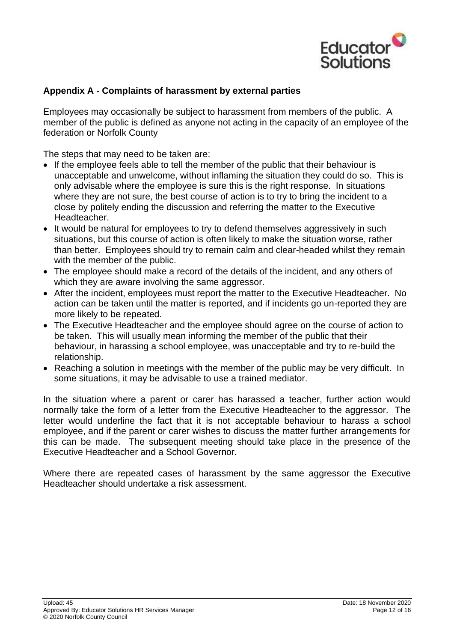

#### <span id="page-11-0"></span>**Appendix A - Complaints of harassment by external parties**

Employees may occasionally be subject to harassment from members of the public. A member of the public is defined as anyone not acting in the capacity of an employee of the federation or Norfolk County

The steps that may need to be taken are:

- If the employee feels able to tell the member of the public that their behaviour is unacceptable and unwelcome, without inflaming the situation they could do so. This is only advisable where the employee is sure this is the right response. In situations where they are not sure, the best course of action is to try to bring the incident to a close by politely ending the discussion and referring the matter to the Executive Headteacher.
- It would be natural for employees to try to defend themselves aggressively in such situations, but this course of action is often likely to make the situation worse, rather than better. Employees should try to remain calm and clear-headed whilst they remain with the member of the public.
- The employee should make a record of the details of the incident, and any others of which they are aware involving the same aggressor.
- After the incident, employees must report the matter to the Executive Headteacher. No action can be taken until the matter is reported, and if incidents go un-reported they are more likely to be repeated.
- The Executive Headteacher and the employee should agree on the course of action to be taken. This will usually mean informing the member of the public that their behaviour, in harassing a school employee, was unacceptable and try to re-build the relationship.
- Reaching a solution in meetings with the member of the public may be very difficult. In some situations, it may be advisable to use a trained mediator.

In the situation where a parent or carer has harassed a teacher, further action would normally take the form of a letter from the Executive Headteacher to the aggressor. The letter would underline the fact that it is not acceptable behaviour to harass a school employee, and if the parent or carer wishes to discuss the matter further arrangements for this can be made. The subsequent meeting should take place in the presence of the Executive Headteacher and a School Governor*.*

Where there are repeated cases of harassment by the same aggressor the Executive Headteacher should undertake a risk assessment.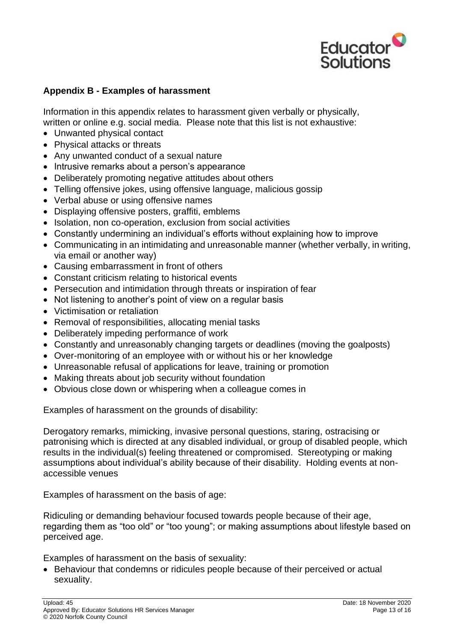

#### <span id="page-12-0"></span>**Appendix B - Examples of harassment**

Information in this appendix relates to harassment given verbally or physically, written or online e.g. social media. Please note that this list is not exhaustive:

- Unwanted physical contact
- Physical attacks or threats
- Any unwanted conduct of a sexual nature
- Intrusive remarks about a person's appearance
- Deliberately promoting negative attitudes about others
- Telling offensive jokes, using offensive language, malicious gossip
- Verbal abuse or using offensive names
- Displaying offensive posters, graffiti, emblems
- Isolation, non co-operation, exclusion from social activities
- Constantly undermining an individual's efforts without explaining how to improve
- Communicating in an intimidating and unreasonable manner (whether verbally, in writing, via email or another way)
- Causing embarrassment in front of others
- Constant criticism relating to historical events
- Persecution and intimidation through threats or inspiration of fear
- Not listening to another's point of view on a regular basis
- Victimisation or retaliation
- Removal of responsibilities, allocating menial tasks
- Deliberately impeding performance of work
- Constantly and unreasonably changing targets or deadlines (moving the goalposts)
- Over-monitoring of an employee with or without his or her knowledge
- Unreasonable refusal of applications for leave, training or promotion
- Making threats about job security without foundation
- Obvious close down or whispering when a colleague comes in

Examples of harassment on the grounds of disability:

Derogatory remarks, mimicking, invasive personal questions, staring, ostracising or patronising which is directed at any disabled individual, or group of disabled people, which results in the individual(s) feeling threatened or compromised. Stereotyping or making assumptions about individual's ability because of their disability. Holding events at nonaccessible venues

Examples of harassment on the basis of age:

Ridiculing or demanding behaviour focused towards people because of their age, regarding them as "too old" or "too young"; or making assumptions about lifestyle based on perceived age.

Examples of harassment on the basis of sexuality:

• Behaviour that condemns or ridicules people because of their perceived or actual sexuality.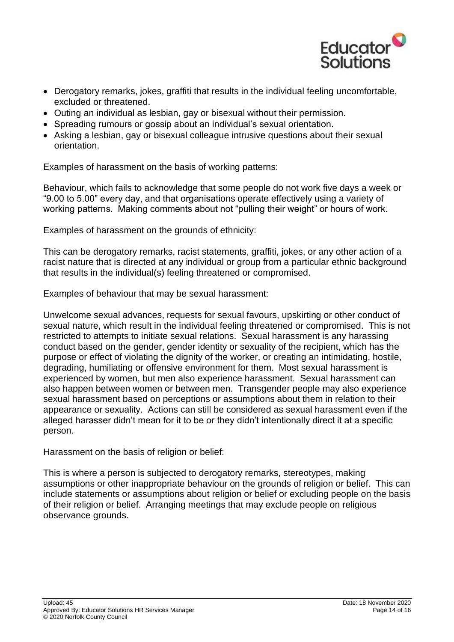

- Derogatory remarks, jokes, graffiti that results in the individual feeling uncomfortable, excluded or threatened.
- Outing an individual as lesbian, gay or bisexual without their permission.
- Spreading rumours or gossip about an individual's sexual orientation.
- Asking a lesbian, gay or bisexual colleague intrusive questions about their sexual orientation.

Examples of harassment on the basis of working patterns:

Behaviour, which fails to acknowledge that some people do not work five days a week or "9.00 to 5.00" every day, and that organisations operate effectively using a variety of working patterns. Making comments about not "pulling their weight" or hours of work.

Examples of harassment on the grounds of ethnicity:

This can be derogatory remarks, racist statements, graffiti, jokes, or any other action of a racist nature that is directed at any individual or group from a particular ethnic background that results in the individual(s) feeling threatened or compromised.

Examples of behaviour that may be sexual harassment:

Unwelcome sexual advances, requests for sexual favours, upskirting or other conduct of sexual nature, which result in the individual feeling threatened or compromised. This is not restricted to attempts to initiate sexual relations. Sexual harassment is any harassing conduct based on the gender, gender identity or sexuality of the recipient, which has the purpose or effect of violating the dignity of the worker, or creating an intimidating, hostile, degrading, humiliating or offensive environment for them. Most sexual harassment is experienced by women, but men also experience harassment. Sexual harassment can also happen between women or between men. Transgender people may also experience sexual harassment based on perceptions or assumptions about them in relation to their appearance or sexuality. Actions can still be considered as sexual harassment even if the alleged harasser didn't mean for it to be or they didn't intentionally direct it at a specific person.

Harassment on the basis of religion or belief:

This is where a person is subjected to derogatory remarks, stereotypes, making assumptions or other inappropriate behaviour on the grounds of religion or belief. This can include statements or assumptions about religion or belief or excluding people on the basis of their religion or belief. Arranging meetings that may exclude people on religious observance grounds.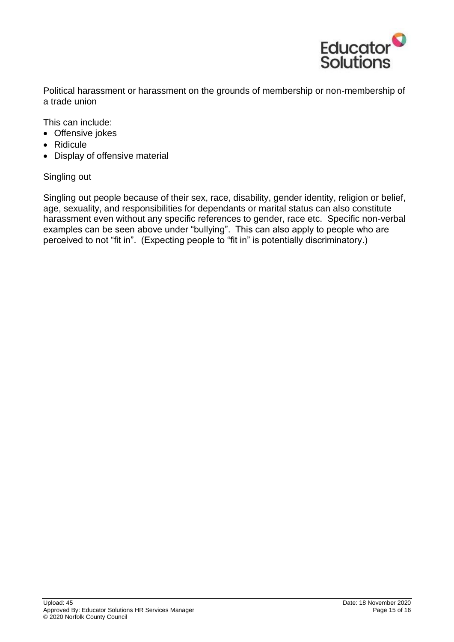

Political harassment or harassment on the grounds of membership or non-membership of a trade union

This can include:

- Offensive jokes
- Ridicule
- Display of offensive material

#### Singling out

Singling out people because of their sex, race, disability, gender identity, religion or belief, age, sexuality, and responsibilities for dependants or marital status can also constitute harassment even without any specific references to gender, race etc. Specific non-verbal examples can be seen above under "bullying". This can also apply to people who are perceived to not "fit in". (Expecting people to "fit in" is potentially discriminatory.)